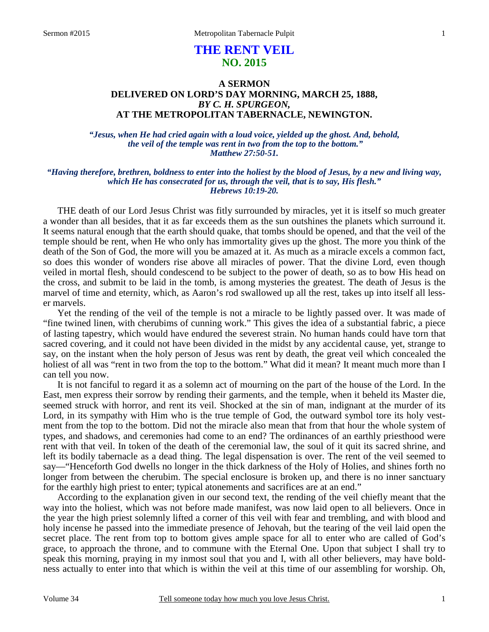# **THE RENT VEIL NO. 2015**

# **A SERMON DELIVERED ON LORD'S DAY MORNING, MARCH 25, 1888,**  *BY C. H. SPURGEON,*  **AT THE METROPOLITAN TABERNACLE, NEWINGTON.**

*"Jesus, when He had cried again with a loud voice, yielded up the ghost. And, behold, the veil of the temple was rent in two from the top to the bottom." Matthew 27:50-51.* 

### *"Having therefore, brethren, boldness to enter into the holiest by the blood of Jesus, by a new and living way, which He has consecrated for us, through the veil, that is to say, His flesh." Hebrews 10:19-20.*

THE death of our Lord Jesus Christ was fitly surrounded by miracles, yet it is itself so much greater a wonder than all besides, that it as far exceeds them as the sun outshines the planets which surround it. It seems natural enough that the earth should quake, that tombs should be opened, and that the veil of the temple should be rent, when He who only has immortality gives up the ghost. The more you think of the death of the Son of God, the more will you be amazed at it. As much as a miracle excels a common fact, so does this wonder of wonders rise above all miracles of power. That the divine Lord, even though veiled in mortal flesh, should condescend to be subject to the power of death, so as to bow His head on the cross, and submit to be laid in the tomb, is among mysteries the greatest. The death of Jesus is the marvel of time and eternity, which, as Aaron's rod swallowed up all the rest, takes up into itself all lesser marvels.

Yet the rending of the veil of the temple is not a miracle to be lightly passed over. It was made of "fine twined linen, with cherubims of cunning work." This gives the idea of a substantial fabric, a piece of lasting tapestry, which would have endured the severest strain. No human hands could have torn that sacred covering, and it could not have been divided in the midst by any accidental cause, yet, strange to say, on the instant when the holy person of Jesus was rent by death, the great veil which concealed the holiest of all was "rent in two from the top to the bottom." What did it mean? It meant much more than I can tell you now.

It is not fanciful to regard it as a solemn act of mourning on the part of the house of the Lord. In the East, men express their sorrow by rending their garments, and the temple, when it beheld its Master die, seemed struck with horror, and rent its veil. Shocked at the sin of man, indignant at the murder of its Lord, in its sympathy with Him who is the true temple of God, the outward symbol tore its holy vestment from the top to the bottom. Did not the miracle also mean that from that hour the whole system of types, and shadows, and ceremonies had come to an end? The ordinances of an earthly priesthood were rent with that veil. In token of the death of the ceremonial law, the soul of it quit its sacred shrine, and left its bodily tabernacle as a dead thing. The legal dispensation is over. The rent of the veil seemed to say—"Henceforth God dwells no longer in the thick darkness of the Holy of Holies, and shines forth no longer from between the cherubim. The special enclosure is broken up, and there is no inner sanctuary for the earthly high priest to enter; typical atonements and sacrifices are at an end."

According to the explanation given in our second text, the rending of the veil chiefly meant that the way into the holiest, which was not before made manifest, was now laid open to all believers. Once in the year the high priest solemnly lifted a corner of this veil with fear and trembling, and with blood and holy incense he passed into the immediate presence of Jehovah, but the tearing of the veil laid open the secret place. The rent from top to bottom gives ample space for all to enter who are called of God's grace, to approach the throne, and to commune with the Eternal One. Upon that subject I shall try to speak this morning, praying in my inmost soul that you and I, with all other believers, may have boldness actually to enter into that which is within the veil at this time of our assembling for worship. Oh,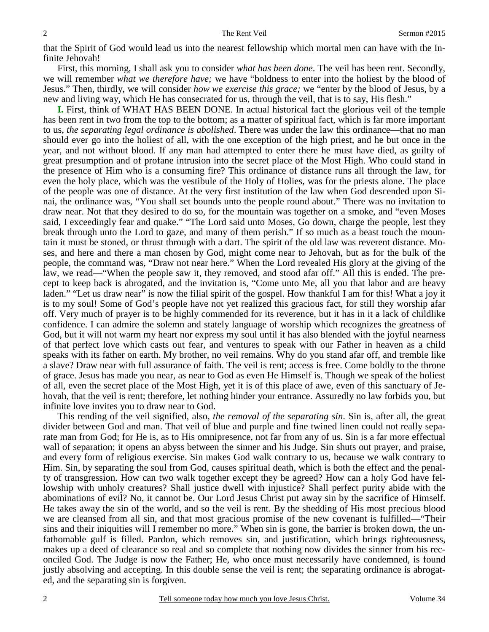that the Spirit of God would lead us into the nearest fellowship which mortal men can have with the Infinite Jehovah!

First, this morning, I shall ask you to consider *what has been done*. The veil has been rent. Secondly, we will remember *what we therefore have;* we have "boldness to enter into the holiest by the blood of Jesus." Then, thirdly, we will consider *how we exercise this grace;* we "enter by the blood of Jesus, by a new and living way, which He has consecrated for us, through the veil, that is to say, His flesh."

**I.** First, think of WHAT HAS BEEN DONE. In actual historical fact the glorious veil of the temple has been rent in two from the top to the bottom; as a matter of spiritual fact, which is far more important to us*, the separating legal ordinance is abolished*. There was under the law this ordinance—that no man should ever go into the holiest of all, with the one exception of the high priest, and he but once in the year, and not without blood. If any man had attempted to enter there he must have died, as guilty of great presumption and of profane intrusion into the secret place of the Most High. Who could stand in the presence of Him who is a consuming fire? This ordinance of distance runs all through the law, for even the holy place, which was the vestibule of the Holy of Holies, was for the priests alone. The place of the people was one of distance. At the very first institution of the law when God descended upon Sinai, the ordinance was, "You shall set bounds unto the people round about." There was no invitation to draw near. Not that they desired to do so, for the mountain was together on a smoke, and "even Moses said, I exceedingly fear and quake." "The Lord said unto Moses, Go down, charge the people, lest they break through unto the Lord to gaze, and many of them perish." If so much as a beast touch the mountain it must be stoned, or thrust through with a dart. The spirit of the old law was reverent distance. Moses, and here and there a man chosen by God, might come near to Jehovah, but as for the bulk of the people, the command was, "Draw not near here." When the Lord revealed His glory at the giving of the law, we read—"When the people saw it, they removed, and stood afar off." All this is ended. The precept to keep back is abrogated, and the invitation is, "Come unto Me, all you that labor and are heavy laden." "Let us draw near" is now the filial spirit of the gospel. How thankful I am for this! What a joy it is to my soul! Some of God's people have not yet realized this gracious fact, for still they worship afar off. Very much of prayer is to be highly commended for its reverence, but it has in it a lack of childlike confidence. I can admire the solemn and stately language of worship which recognizes the greatness of God, but it will not warm my heart nor express my soul until it has also blended with the joyful nearness of that perfect love which casts out fear, and ventures to speak with our Father in heaven as a child speaks with its father on earth. My brother, no veil remains. Why do you stand afar off, and tremble like a slave? Draw near with full assurance of faith. The veil is rent; access is free. Come boldly to the throne of grace. Jesus has made you near, as near to God as even He Himself is. Though we speak of the holiest of all, even the secret place of the Most High, yet it is of this place of awe, even of this sanctuary of Jehovah, that the veil is rent; therefore, let nothing hinder your entrance. Assuredly no law forbids you, but infinite love invites you to draw near to God.

This rending of the veil signified, also, *the removal of the separating sin*. Sin is, after all, the great divider between God and man. That veil of blue and purple and fine twined linen could not really separate man from God; for He is, as to His omnipresence, not far from any of us. Sin is a far more effectual wall of separation; it opens an abyss between the sinner and his Judge. Sin shuts out prayer, and praise, and every form of religious exercise. Sin makes God walk contrary to us, because we walk contrary to Him. Sin, by separating the soul from God, causes spiritual death, which is both the effect and the penalty of transgression. How can two walk together except they be agreed? How can a holy God have fellowship with unholy creatures? Shall justice dwell with injustice? Shall perfect purity abide with the abominations of evil? No, it cannot be. Our Lord Jesus Christ put away sin by the sacrifice of Himself. He takes away the sin of the world, and so the veil is rent. By the shedding of His most precious blood we are cleansed from all sin, and that most gracious promise of the new covenant is fulfilled—"Their sins and their iniquities will I remember no more." When sin is gone, the barrier is broken down, the unfathomable gulf is filled. Pardon, which removes sin, and justification, which brings righteousness, makes up a deed of clearance so real and so complete that nothing now divides the sinner from his reconciled God. The Judge is now the Father; He, who once must necessarily have condemned, is found justly absolving and accepting. In this double sense the veil is rent; the separating ordinance is abrogated, and the separating sin is forgiven.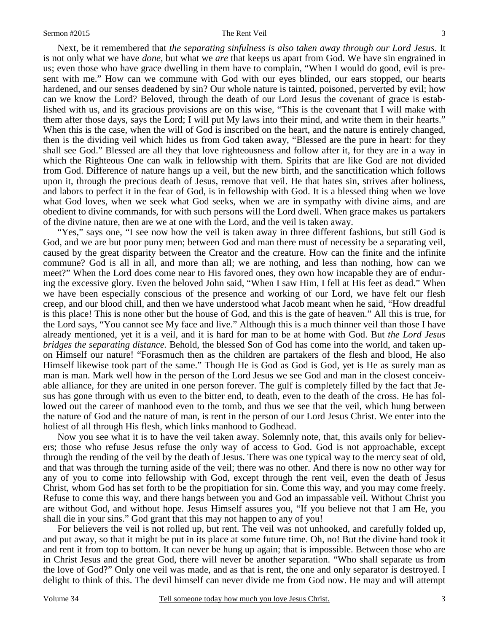3

Next, be it remembered that *the separating sinfulness is also taken away through our Lord Jesus*. It is not only what we have *done,* but what we *are* that keeps us apart from God. We have sin engrained in us; even those who have grace dwelling in them have to complain, "When I would do good, evil is present with me." How can we commune with God with our eyes blinded, our ears stopped, our hearts hardened, and our senses deadened by sin? Our whole nature is tainted, poisoned, perverted by evil; how can we know the Lord? Beloved, through the death of our Lord Jesus the covenant of grace is established with us, and its gracious provisions are on this wise, "This is the covenant that I will make with them after those days, says the Lord; I will put My laws into their mind, and write them in their hearts." When this is the case, when the will of God is inscribed on the heart, and the nature is entirely changed, then is the dividing veil which hides us from God taken away, "Blessed are the pure in heart: for they shall see God." Blessed are all they that love righteousness and follow after it, for they are in a way in which the Righteous One can walk in fellowship with them. Spirits that are like God are not divided from God. Difference of nature hangs up a veil, but the new birth, and the sanctification which follows upon it, through the precious death of Jesus, remove that veil. He that hates sin, strives after holiness, and labors to perfect it in the fear of God, is in fellowship with God. It is a blessed thing when we love what God loves, when we seek what God seeks, when we are in sympathy with divine aims, and are obedient to divine commands, for with such persons will the Lord dwell. When grace makes us partakers of the divine nature, then are we at one with the Lord, and the veil is taken away.

"Yes," says one, "I see now how the veil is taken away in three different fashions, but still God is God, and we are but poor puny men; between God and man there must of necessity be a separating veil, caused by the great disparity between the Creator and the creature. How can the finite and the infinite commune? God is all in all, and more than all; we are nothing, and less than nothing, how can we meet?" When the Lord does come near to His favored ones, they own how incapable they are of enduring the excessive glory. Even the beloved John said, "When I saw Him, I fell at His feet as dead." When we have been especially conscious of the presence and working of our Lord, we have felt our flesh creep, and our blood chill, and then we have understood what Jacob meant when he said, "How dreadful is this place! This is none other but the house of God, and this is the gate of heaven." All this is true, for the Lord says, "You cannot see My face and live." Although this is a much thinner veil than those I have already mentioned, yet it is a veil, and it is hard for man to be at home with God. But *the Lord Jesus bridges the separating distance.* Behold, the blessed Son of God has come into the world, and taken upon Himself our nature! "Forasmuch then as the children are partakers of the flesh and blood, He also Himself likewise took part of the same." Though He is God as God is God, yet is He as surely man as man is man. Mark well how in the person of the Lord Jesus we see God and man in the closest conceivable alliance, for they are united in one person forever. The gulf is completely filled by the fact that Jesus has gone through with us even to the bitter end, to death, even to the death of the cross. He has followed out the career of manhood even to the tomb, and thus we see that the veil, which hung between the nature of God and the nature of man, is rent in the person of our Lord Jesus Christ. We enter into the holiest of all through His flesh, which links manhood to Godhead.

Now you see what it is to have the veil taken away. Solemnly note, that, this avails only for believers; those who refuse Jesus refuse the only way of access to God. God is not approachable, except through the rending of the veil by the death of Jesus. There was one typical way to the mercy seat of old, and that was through the turning aside of the veil; there was no other. And there is now no other way for any of you to come into fellowship with God, except through the rent veil, even the death of Jesus Christ, whom God has set forth to be the propitiation for sin. Come this way, and you may come freely. Refuse to come this way, and there hangs between you and God an impassable veil. Without Christ you are without God, and without hope. Jesus Himself assures you, "If you believe not that I am He, you shall die in your sins." God grant that this may not happen to any of you!

For believers the veil is not rolled up, but rent. The veil was not unhooked, and carefully folded up, and put away, so that it might be put in its place at some future time. Oh, no! But the divine hand took it and rent it from top to bottom. It can never be hung up again; that is impossible. Between those who are in Christ Jesus and the great God, there will never be another separation. "Who shall separate us from the love of God?" Only one veil was made, and as that is rent, the one and only separator is destroyed. I delight to think of this. The devil himself can never divide me from God now. He may and will attempt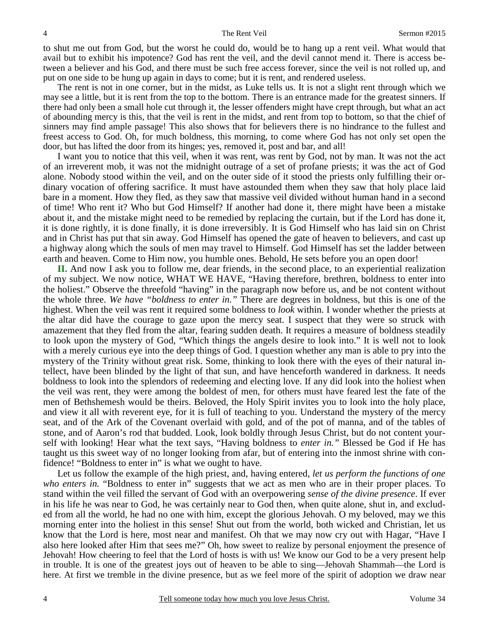to shut me out from God, but the worst he could do, would be to hang up a rent veil. What would that avail but to exhibit his impotence? God has rent the veil, and the devil cannot mend it. There is access between a believer and his God, and there must be such free access forever, since the veil is not rolled up, and put on one side to be hung up again in days to come; but it is rent, and rendered useless.

The rent is not in one corner, but in the midst, as Luke tells us. It is not a slight rent through which we may see a little, but it is rent from the top to the bottom. There is an entrance made for the greatest sinners. If there had only been a small hole cut through it, the lesser offenders might have crept through, but what an act of abounding mercy is this, that the veil is rent in the midst, and rent from top to bottom, so that the chief of sinners may find ample passage! This also shows that for believers there is no hindrance to the fullest and freest access to God. Oh, for much boldness, this morning, to come where God has not only set open the door, but has lifted the door from its hinges; yes, removed it, post and bar, and all!

I want you to notice that this veil, when it was rent, was rent by God, not by man. It was not the act of an irreverent mob, it was not the midnight outrage of a set of profane priests; it was the act of God alone. Nobody stood within the veil, and on the outer side of it stood the priests only fulfilling their ordinary vocation of offering sacrifice. It must have astounded them when they saw that holy place laid bare in a moment. How they fled, as they saw that massive veil divided without human hand in a second of time! Who rent it? Who but God Himself? If another had done it, there might have been a mistake about it, and the mistake might need to be remedied by replacing the curtain, but if the Lord has done it, it is done rightly, it is done finally, it is done irreversibly. It is God Himself who has laid sin on Christ and in Christ has put that sin away. God Himself has opened the gate of heaven to believers, and cast up a highway along which the souls of men may travel to Himself. God Himself has set the ladder between earth and heaven. Come to Him now, you humble ones. Behold, He sets before you an open door!

**II.** And now I ask you to follow me, dear friends, in the second place, to an experiential realization of my subject. We now notice, WHAT WE HAVE, "Having therefore, brethren, boldness to enter into the holiest." Observe the threefold "having" in the paragraph now before us, and be not content without the whole three. *We have "boldness to enter in."* There are degrees in boldness, but this is one of the highest. When the veil was rent it required some boldness to *look* within. I wonder whether the priests at the altar did have the courage to gaze upon the mercy seat. I suspect that they were so struck with amazement that they fled from the altar, fearing sudden death. It requires a measure of boldness steadily to look upon the mystery of God, "Which things the angels desire to look into." It is well not to look with a merely curious eye into the deep things of God. I question whether any man is able to pry into the mystery of the Trinity without great risk. Some, thinking to look there with the eyes of their natural intellect, have been blinded by the light of that sun, and have henceforth wandered in darkness. It needs boldness to look into the splendors of redeeming and electing love. If any did look into the holiest when the veil was rent, they were among the boldest of men, for others must have feared lest the fate of the men of Bethshemesh would be theirs. Beloved, the Holy Spirit invites you to look into the holy place, and view it all with reverent eye, for it is full of teaching to you. Understand the mystery of the mercy seat, and of the Ark of the Covenant overlaid with gold, and of the pot of manna, and of the tables of stone, and of Aaron's rod that budded. Look, look boldly through Jesus Christ, but do not content yourself with looking! Hear what the text says, "Having boldness to *enter in."* Blessed be God if He has taught us this sweet way of no longer looking from afar, but of entering into the inmost shrine with confidence! "Boldness to enter in" is what we ought to have.

Let us follow the example of the high priest, and, having entered, *let us perform the functions of one who enters in.* "Boldness to enter in" suggests that we act as men who are in their proper places. To stand within the veil filled the servant of God with an overpowering *sense of the divine presence*. If ever in his life he was near to God, he was certainly near to God then, when quite alone, shut in, and excluded from all the world, he had no one with him, except the glorious Jehovah. O my beloved, may we this morning enter into the holiest in this sense! Shut out from the world, both wicked and Christian, let us know that the Lord is here, most near and manifest. Oh that we may now cry out with Hagar, "Have I also here looked after Him that sees me?" Oh, how sweet to realize by personal enjoyment the presence of Jehovah! How cheering to feel that the Lord of hosts is with us! We know our God to be a very present help in trouble. It is one of the greatest joys out of heaven to be able to sing—Jehovah Shammah—the Lord is here. At first we tremble in the divine presence, but as we feel more of the spirit of adoption we draw near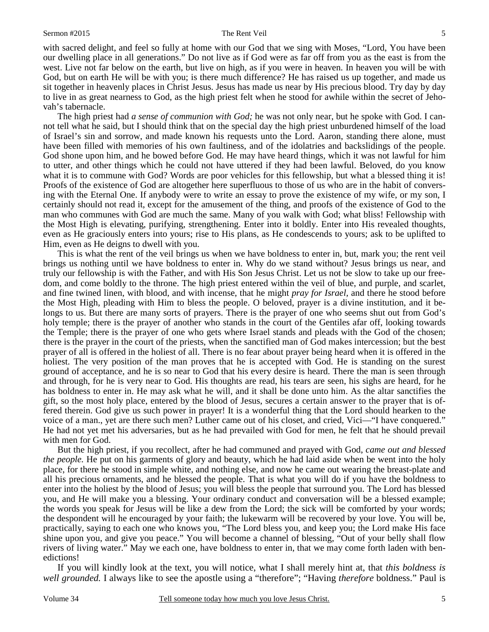with sacred delight, and feel so fully at home with our God that we sing with Moses, "Lord, You have been our dwelling place in all generations." Do not live as if God were as far off from you as the east is from the west. Live not far below on the earth, but live on high, as if you were in heaven. In heaven you will be with God, but on earth He will be with you; is there much difference? He has raised us up together, and made us sit together in heavenly places in Christ Jesus. Jesus has made us near by His precious blood. Try day by day to live in as great nearness to God, as the high priest felt when he stood for awhile within the secret of Jehovah's tabernacle.

The high priest had *a sense of communion with God;* he was not only near, but he spoke with God. I cannot tell what he said, but I should think that on the special day the high priest unburdened himself of the load of Israel's sin and sorrow, and made known his requests unto the Lord. Aaron, standing there alone, must have been filled with memories of his own faultiness, and of the idolatries and backslidings of the people. God shone upon him, and he bowed before God. He may have heard things, which it was not lawful for him to utter, and other things which he could not have uttered if they had been lawful. Beloved, do you know what it is to commune with God? Words are poor vehicles for this fellowship, but what a blessed thing it is! Proofs of the existence of God are altogether here superfluous to those of us who are in the habit of conversing with the Eternal One. If anybody were to write an essay to prove the existence of my wife, or my son, I certainly should not read it, except for the amusement of the thing, and proofs of the existence of God to the man who communes with God are much the same. Many of you walk with God; what bliss! Fellowship with the Most High is elevating, purifying, strengthening. Enter into it boldly. Enter into His revealed thoughts, even as He graciously enters into yours; rise to His plans, as He condescends to yours; ask to be uplifted to Him, even as He deigns to dwell with you.

This is what the rent of the veil brings us when we have boldness to enter in, but, mark you; the rent veil brings us nothing until we have boldness to enter in. Why do we stand without? Jesus brings us near, and truly our fellowship is with the Father, and with His Son Jesus Christ. Let us not be slow to take up our freedom, and come boldly to the throne. The high priest entered within the veil of blue, and purple, and scarlet, and fine twined linen, with blood, and with incense, that he might *pray for Israel,* and there he stood before the Most High, pleading with Him to bless the people. O beloved, prayer is a divine institution, and it belongs to us. But there are many sorts of prayers. There is the prayer of one who seems shut out from God's holy temple; there is the prayer of another who stands in the court of the Gentiles afar off, looking towards the Temple; there is the prayer of one who gets where Israel stands and pleads with the God of the chosen; there is the prayer in the court of the priests, when the sanctified man of God makes intercession; but the best prayer of all is offered in the holiest of all. There is no fear about prayer being heard when it is offered in the holiest. The very position of the man proves that he is accepted with God. He is standing on the surest ground of acceptance, and he is so near to God that his every desire is heard. There the man is seen through and through, for he is very near to God. His thoughts are read, his tears are seen, his sighs are heard, for he has boldness to enter in. He may ask what he will, and it shall be done unto him. As the altar sanctifies the gift, so the most holy place, entered by the blood of Jesus, secures a certain answer to the prayer that is offered therein. God give us such power in prayer! It is a wonderful thing that the Lord should hearken to the voice of a man., yet are there such men? Luther came out of his closet, and cried, Vici—"I have conquered." He had not yet met his adversaries, but as he had prevailed with God for men, he felt that he should prevail with men for God.

But the high priest, if you recollect, after he had communed and prayed with God, *came out and blessed the people*. He put on his garments of glory and beauty, which he had laid aside when be went into the holy place, for there he stood in simple white, and nothing else, and now he came out wearing the breast-plate and all his precious ornaments, and he blessed the people. That is what you will do if you have the boldness to enter into the holiest by the blood of Jesus; you will bless the people that surround you. The Lord has blessed you, and He will make you a blessing. Your ordinary conduct and conversation will be a blessed example; the words you speak for Jesus will be like a dew from the Lord; the sick will be comforted by your words; the despondent will he encouraged by your faith; the lukewarm will be recovered by your love. You will be, practically, saying to each one who knows you, "The Lord bless you, and keep you; the Lord make His face shine upon you, and give you peace." You will become a channel of blessing, "Out of your belly shall flow rivers of living water." May we each one, have boldness to enter in, that we may come forth laden with benedictions!

If you will kindly look at the text, you will notice, what I shall merely hint at, that *this boldness is well grounded.* I always like to see the apostle using a "therefore"; "Having *therefore* boldness." Paul is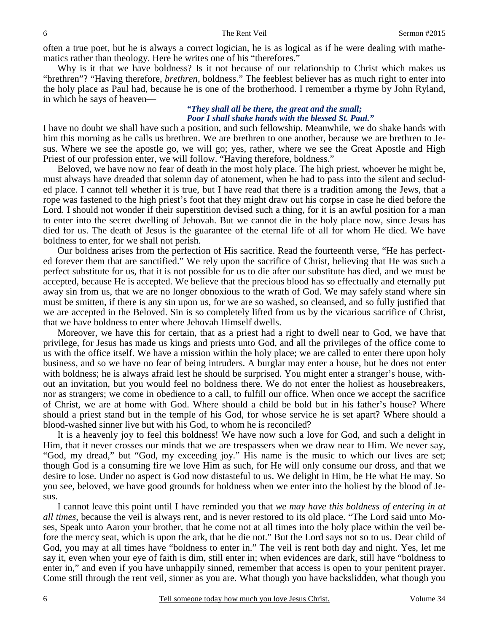often a true poet, but he is always a correct logician, he is as logical as if he were dealing with mathematics rather than theology. Here he writes one of his "therefores."

Why is it that we have boldness? Is it not because of our relationship to Christ which makes us "brethren"? "Having therefore, *brethren,* boldness." The feeblest believer has as much right to enter into the holy place as Paul had, because he is one of the brotherhood. I remember a rhyme by John Ryland, in which he says of heaven—

### *"They shall all be there, the great and the small; Poor I shall shake hands with the blessed St. Paul."*

I have no doubt we shall have such a position, and such fellowship. Meanwhile, we do shake hands with him this morning as he calls us brethren. We are brethren to one another, because we are brethren to Jesus. Where we see the apostle go, we will go; yes, rather, where we see the Great Apostle and High Priest of our profession enter, we will follow. "Having therefore, boldness."

Beloved, we have now no fear of death in the most holy place. The high priest, whoever he might be, must always have dreaded that solemn day of atonement, when he had to pass into the silent and secluded place. I cannot tell whether it is true, but I have read that there is a tradition among the Jews, that a rope was fastened to the high priest's foot that they might draw out his corpse in case he died before the Lord. I should not wonder if their superstition devised such a thing, for it is an awful position for a man to enter into the secret dwelling of Jehovah. But we cannot die in the holy place now, since Jesus has died for us. The death of Jesus is the guarantee of the eternal life of all for whom He died. We have boldness to enter, for we shall not perish.

Our boldness arises from the perfection of His sacrifice. Read the fourteenth verse, "He has perfected forever them that are sanctified." We rely upon the sacrifice of Christ, believing that He was such a perfect substitute for us, that it is not possible for us to die after our substitute has died, and we must be accepted, because He is accepted. We believe that the precious blood has so effectually and eternally put away sin from us, that we are no longer obnoxious to the wrath of God. We may safely stand where sin must be smitten, if there is any sin upon us, for we are so washed, so cleansed, and so fully justified that we are accepted in the Beloved. Sin is so completely lifted from us by the vicarious sacrifice of Christ, that we have boldness to enter where Jehovah Himself dwells.

Moreover, we have this for certain, that as a priest had a right to dwell near to God, we have that privilege, for Jesus has made us kings and priests unto God, and all the privileges of the office come to us with the office itself. We have a mission within the holy place; we are called to enter there upon holy business, and so we have no fear of being intruders. A burglar may enter a house, but he does not enter with boldness; he is always afraid lest he should be surprised. You might enter a stranger's house, without an invitation, but you would feel no boldness there. We do not enter the holiest as housebreakers, nor as strangers; we come in obedience to a call, to fulfill our office. When once we accept the sacrifice of Christ, we are at home with God. Where should a child be bold but in his father's house? Where should a priest stand but in the temple of his God, for whose service he is set apart? Where should a blood-washed sinner live but with his God, to whom he is reconciled?

It is a heavenly joy to feel this boldness! We have now such a love for God, and such a delight in Him, that it never crosses our minds that we are trespassers when we draw near to Him. We never say, "God, my dread," but "God, my exceeding joy." His name is the music to which our lives are set; though God is a consuming fire we love Him as such, for He will only consume our dross, and that we desire to lose. Under no aspect is God now distasteful to us. We delight in Him, be He what He may. So you see, beloved, we have good grounds for boldness when we enter into the holiest by the blood of Jesus.

I cannot leave this point until I have reminded you that *we may have this boldness of entering in at all times,* because the veil is always rent, and is never restored to its old place. "The Lord said unto Moses, Speak unto Aaron your brother, that he come not at all times into the holy place within the veil before the mercy seat, which is upon the ark, that he die not." But the Lord says not so to us. Dear child of God, you may at all times have "boldness to enter in." The veil is rent both day and night. Yes, let me say it, even when your eye of faith is dim, still enter in; when evidences are dark, still have "boldness to enter in," and even if you have unhappily sinned, remember that access is open to your penitent prayer. Come still through the rent veil, sinner as you are. What though you have backslidden, what though you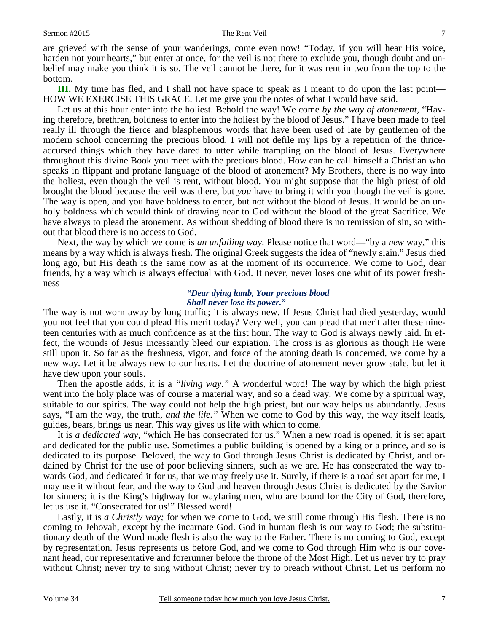are grieved with the sense of your wanderings, come even now! "Today, if you will hear His voice, harden not your hearts," but enter at once, for the veil is not there to exclude you, though doubt and unbelief may make you think it is so. The veil cannot be there, for it was rent in two from the top to the bottom.

**III.** My time has fled, and I shall not have space to speak as I meant to do upon the last point— HOW WE EXERCISE THIS GRACE. Let me give you the notes of what I would have said.

Let us at this hour enter into the holiest. Behold the way! We come *by the way of atonement,* "Having therefore, brethren, boldness to enter into the holiest by the blood of Jesus." I have been made to feel really ill through the fierce and blasphemous words that have been used of late by gentlemen of the modern school concerning the precious blood. I will not defile my lips by a repetition of the thriceaccursed things which they have dared to utter while trampling on the blood of Jesus. Everywhere throughout this divine Book you meet with the precious blood. How can he call himself a Christian who speaks in flippant and profane language of the blood of atonement? My Brothers, there is no way into the holiest, even though the veil is rent, without blood. You might suppose that the high priest of old brought the blood because the veil was there, but *you* have to bring it with you though the veil is gone. The way is open, and you have boldness to enter, but not without the blood of Jesus. It would be an unholy boldness which would think of drawing near to God without the blood of the great Sacrifice. We have always to plead the atonement. As without shedding of blood there is no remission of sin, so without that blood there is no access to God.

Next, the way by which we come is *an unfailing way*. Please notice that word—"by a *new* way," this means by a way which is always fresh. The original Greek suggests the idea of "newly slain." Jesus died long ago, but His death is the same now as at the moment of its occurrence. We come to God, dear friends, by a way which is always effectual with God. It never, never loses one whit of its power freshness—

### *"Dear dying lamb, Your precious blood Shall never lose its power."*

The way is not worn away by long traffic; it is always new. If Jesus Christ had died yesterday, would you not feel that you could plead His merit today? Very well, you can plead that merit after these nineteen centuries with as much confidence as at the first hour. The way to God is always newly laid. In effect, the wounds of Jesus incessantly bleed our expiation. The cross is as glorious as though He were still upon it. So far as the freshness, vigor, and force of the atoning death is concerned, we come by a new way. Let it be always new to our hearts. Let the doctrine of atonement never grow stale, but let it have dew upon your souls.

Then the apostle adds, it is a *"living way."* A wonderful word! The way by which the high priest went into the holy place was of course a material way, and so a dead way. We come by a spiritual way, suitable to our spirits. The way could not help the high priest, but our way helps us abundantly. Jesus says, "I am the way, the truth, *and the life."* When we come to God by this way, the way itself leads, guides, bears, brings us near. This way gives us life with which to come.

It is *a dedicated way,* "which He has consecrated for us." When a new road is opened, it is set apart and dedicated for the public use. Sometimes a public building is opened by a king or a prince, and so is dedicated to its purpose. Beloved, the way to God through Jesus Christ is dedicated by Christ, and ordained by Christ for the use of poor believing sinners, such as we are. He has consecrated the way towards God, and dedicated it for us, that we may freely use it. Surely, if there is a road set apart for me, I may use it without fear, and the way to God and heaven through Jesus Christ is dedicated by the Savior for sinners; it is the King's highway for wayfaring men, who are bound for the City of God, therefore, let us use it. "Consecrated for us!" Blessed word!

Lastly, it is *a Christly way*; for when we come to God, we still come through His flesh. There is no coming to Jehovah, except by the incarnate God. God in human flesh is our way to God; the substitutionary death of the Word made flesh is also the way to the Father. There is no coming to God, except by representation. Jesus represents us before God, and we come to God through Him who is our covenant head, our representative and forerunner before the throne of the Most High. Let us never try to pray without Christ; never try to sing without Christ; never try to preach without Christ. Let us perform no